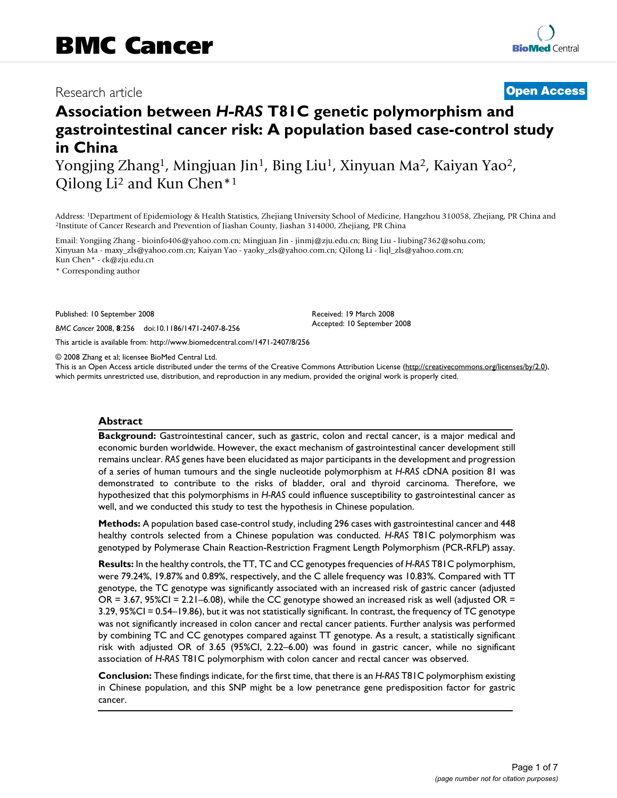# Research article **[Open Access](http://www.biomedcentral.com/info/about/charter/)**

# **Association between** *H-RAS* **T81C genetic polymorphism and gastrointestinal cancer risk: A population based case-control study in China**

Yongjing Zhang<sup>1</sup>, Mingjuan Jin<sup>1</sup>, Bing Liu<sup>1</sup>, Xinyuan Ma<sup>2</sup>, Kaiyan Yao<sup>2</sup>, Qilong Li2 and Kun Chen\*1

Address: 1Department of Epidemiology & Health Statistics, Zhejiang University School of Medicine, Hangzhou 310058, Zhejiang, PR China and 2Institute of Cancer Research and Prevention of Jiashan County, Jiashan 314000, Zhejiang, PR China

Email: Yongjing Zhang - bioinfo406@yahoo.com.cn; Mingjuan Jin - jinmj@zju.edu.cn; Bing Liu - liubing7362@sohu.com; Xinyuan Ma - maxy\_zls@yahoo.com.cn; Kaiyan Yao - yaoky\_zls@yahoo.com.cn; Qilong Li - liql\_zls@yahoo.com.cn; Kun Chen\* - ck@zju.edu.cn

\* Corresponding author

Published: 10 September 2008

*BMC Cancer* 2008, **8**:256 doi:10.1186/1471-2407-8-256

[This article is available from: http://www.biomedcentral.com/1471-2407/8/256](http://www.biomedcentral.com/1471-2407/8/256)

© 2008 Zhang et al; licensee BioMed Central Ltd.

This is an Open Access article distributed under the terms of the Creative Commons Attribution License [\(http://creativecommons.org/licenses/by/2.0\)](http://creativecommons.org/licenses/by/2.0), which permits unrestricted use, distribution, and reproduction in any medium, provided the original work is properly cited.

Received: 19 March 2008 Accepted: 10 September 2008

#### **Abstract**

**Background:** Gastrointestinal cancer, such as gastric, colon and rectal cancer, is a major medical and economic burden worldwide. However, the exact mechanism of gastrointestinal cancer development still remains unclear. *RAS* genes have been elucidated as major participants in the development and progression of a series of human tumours and the single nucleotide polymorphism at *H-RAS* cDNA position 81 was demonstrated to contribute to the risks of bladder, oral and thyroid carcinoma. Therefore, we hypothesized that this polymorphisms in *H-RAS* could influence susceptibility to gastrointestinal cancer as well, and we conducted this study to test the hypothesis in Chinese population.

**Methods:** A population based case-control study, including 296 cases with gastrointestinal cancer and 448 healthy controls selected from a Chinese population was conducted. *H-RAS* T81C polymorphism was genotyped by Polymerase Chain Reaction-Restriction Fragment Length Polymorphism (PCR-RFLP) assay.

**Results:** In the healthy controls, the TT, TC and CC genotypes frequencies of *H-RAS* T81C polymorphism, were 79.24%, 19.87% and 0.89%, respectively, and the C allele frequency was 10.83%. Compared with TT genotype, the TC genotype was significantly associated with an increased risk of gastric cancer (adjusted OR = 3.67, 95%CI = 2.21–6.08), while the CC genotype showed an increased risk as well (adjusted OR = 3.29, 95%CI = 0.54–19.86), but it was not statistically significant. In contrast, the frequency of TC genotype was not significantly increased in colon cancer and rectal cancer patients. Further analysis was performed by combining TC and CC genotypes compared against TT genotype. As a result, a statistically significant risk with adjusted OR of 3.65 (95%CI, 2.22–6.00) was found in gastric cancer, while no significant association of *H-RAS* T81C polymorphism with colon cancer and rectal cancer was observed.

**Conclusion:** These findings indicate, for the first time, that there is an *H-RAS* T81C polymorphism existing in Chinese population, and this SNP might be a low penetrance gene predisposition factor for gastric cancer.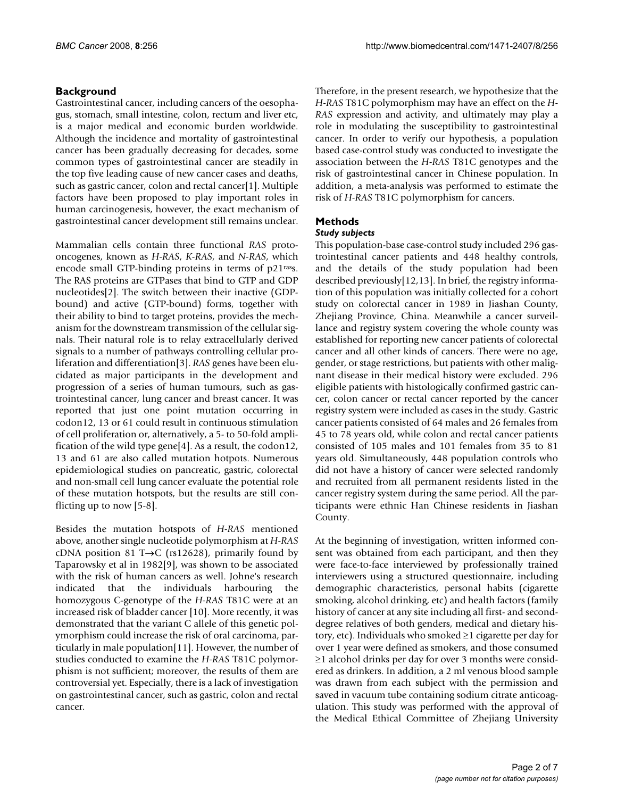# **Background**

Gastrointestinal cancer, including cancers of the oesophagus, stomach, small intestine, colon, rectum and liver etc, is a major medical and economic burden worldwide. Although the incidence and mortality of gastrointestinal cancer has been gradually decreasing for decades, some common types of gastrointestinal cancer are steadily in the top five leading cause of new cancer cases and deaths, such as gastric cancer, colon and rectal cancer[1]. Multiple factors have been proposed to play important roles in human carcinogenesis, however, the exact mechanism of gastrointestinal cancer development still remains unclear.

Mammalian cells contain three functional *RAS* protooncogenes, known as *H-RAS*, *K-RAS*, and *N-RAS*, which encode small GTP-binding proteins in terms of p21rass. The RAS proteins are GTPases that bind to GTP and GDP nucleotides[2]. The switch between their inactive (GDPbound) and active (GTP-bound) forms, together with their ability to bind to target proteins, provides the mechanism for the downstream transmission of the cellular signals. Their natural role is to relay extracellularly derived signals to a number of pathways controlling cellular proliferation and differentiation[3]. *RAS* genes have been elucidated as major participants in the development and progression of a series of human tumours, such as gastrointestinal cancer, lung cancer and breast cancer. It was reported that just one point mutation occurring in codon12, 13 or 61 could result in continuous stimulation of cell proliferation or, alternatively, a 5- to 50-fold amplification of the wild type gene[4]. As a result, the codon12, 13 and 61 are also called mutation hotpots. Numerous epidemiological studies on pancreatic, gastric, colorectal and non-small cell lung cancer evaluate the potential role of these mutation hotspots, but the results are still conflicting up to now [5-8].

Besides the mutation hotspots of *H-RAS* mentioned above, another single nucleotide polymorphism at *H-RAS* cDNA position 81 T $\rightarrow$ C (rs12628), primarily found by Taparowsky et al in 1982[9], was shown to be associated with the risk of human cancers as well. Johne's research indicated that the individuals harbouring the homozygous C-genotype of the *H-RAS* T81C were at an increased risk of bladder cancer [10]. More recently, it was demonstrated that the variant C allele of this genetic polymorphism could increase the risk of oral carcinoma, particularly in male population[11]. However, the number of studies conducted to examine the *H-RAS* T81C polymorphism is not sufficient; moreover, the results of them are controversial yet. Especially, there is a lack of investigation on gastrointestinal cancer, such as gastric, colon and rectal cancer.

Therefore, in the present research, we hypothesize that the *H-RAS* T81C polymorphism may have an effect on the *H-RAS* expression and activity, and ultimately may play a role in modulating the susceptibility to gastrointestinal cancer. In order to verify our hypothesis, a population based case-control study was conducted to investigate the association between the *H-RAS* T81C genotypes and the risk of gastrointestinal cancer in Chinese population. In addition, a meta-analysis was performed to estimate the risk of *H-RAS* T81C polymorphism for cancers.

# **Methods**

## *Study subjects*

This population-base case-control study included 296 gastrointestinal cancer patients and 448 healthy controls, and the details of the study population had been described previously[12,13]. In brief, the registry information of this population was initially collected for a cohort study on colorectal cancer in 1989 in Jiashan County, Zhejiang Province, China. Meanwhile a cancer surveillance and registry system covering the whole county was established for reporting new cancer patients of colorectal cancer and all other kinds of cancers. There were no age, gender, or stage restrictions, but patients with other malignant disease in their medical history were excluded. 296 eligible patients with histologically confirmed gastric cancer, colon cancer or rectal cancer reported by the cancer registry system were included as cases in the study. Gastric cancer patients consisted of 64 males and 26 females from 45 to 78 years old, while colon and rectal cancer patients consisted of 105 males and 101 females from 35 to 81 years old. Simultaneously, 448 population controls who did not have a history of cancer were selected randomly and recruited from all permanent residents listed in the cancer registry system during the same period. All the participants were ethnic Han Chinese residents in Jiashan County.

At the beginning of investigation, written informed consent was obtained from each participant, and then they were face-to-face interviewed by professionally trained interviewers using a structured questionnaire, including demographic characteristics, personal habits (cigarette smoking, alcohol drinking, etc) and health factors (family history of cancer at any site including all first- and seconddegree relatives of both genders, medical and dietary history, etc). Individuals who smoked ≥1 cigarette per day for over 1 year were defined as smokers, and those consumed ≥1 alcohol drinks per day for over 3 months were considered as drinkers. In addition, a 2 ml venous blood sample was drawn from each subject with the permission and saved in vacuum tube containing sodium citrate anticoagulation. This study was performed with the approval of the Medical Ethical Committee of Zhejiang University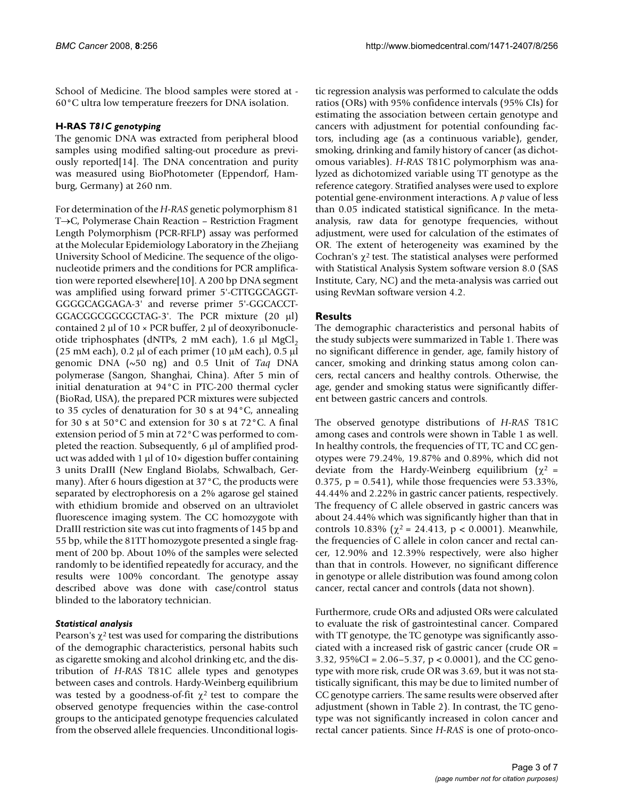School of Medicine. The blood samples were stored at - 60°C ultra low temperature freezers for DNA isolation.

# **H-RAS** *T81C genotyping*

The genomic DNA was extracted from peripheral blood samples using modified salting-out procedure as previously reported[14]. The DNA concentration and purity was measured using BioPhotometer (Eppendorf, Hamburg, Germany) at 260 nm.

For determination of the *H-RAS* genetic polymorphism 81 T→C, Polymerase Chain Reaction – Restriction Fragment Length Polymorphism (PCR-RFLP) assay was performed at the Molecular Epidemiology Laboratory in the Zhejiang University School of Medicine. The sequence of the oligonucleotide primers and the conditions for PCR amplification were reported elsewhere[10]. A 200 bp DNA segment was amplified using forward primer 5'-CTTGGCAGGT-GGGGCAGGAGA-3' and reverse primer 5'-GGCACCT-GGACGGCGGCGCTAG-3'. The PCR mixture (20 μl) contained 2 μl of 10 × PCR buffer, 2 μl of deoxyribonucleotide triphosphates (dNTPs, 2 mM each), 1.6  $\mu$ l MgCl<sub>2</sub> (25 mM each), 0.2 μl of each primer (10 μM each), 0.5 μl genomic DNA (~50 ng) and 0.5 Unit of *Taq* DNA polymerase (Sangon, Shanghai, China). After 5 min of initial denaturation at 94°C in PTC-200 thermal cycler (BioRad, USA), the prepared PCR mixtures were subjected to 35 cycles of denaturation for 30 s at 94°C, annealing for 30 s at 50°C and extension for 30 s at 72°C. A final extension period of 5 min at 72°C was performed to completed the reaction. Subsequently, 6 μl of amplified product was added with 1 μl of 10× digestion buffer containing 3 units DraIII (New England Biolabs, Schwalbach, Germany). After 6 hours digestion at 37°C, the products were separated by electrophoresis on a 2% agarose gel stained with ethidium bromide and observed on an ultraviolet fluorescence imaging system. The CC homozygote with DraIII restriction site was cut into fragments of 145 bp and 55 bp, while the 81TT homozygote presented a single fragment of 200 bp. About 10% of the samples were selected randomly to be identified repeatedly for accuracy, and the results were 100% concordant. The genotype assay described above was done with case/control status blinded to the laboratory technician.

# *Statistical analysis*

Pearson's  $\chi^2$  test was used for comparing the distributions of the demographic characteristics, personal habits such as cigarette smoking and alcohol drinking etc, and the distribution of *H-RAS* T81C allele types and genotypes between cases and controls. Hardy-Weinberg equilibrium was tested by a goodness-of-fit  $\chi^2$  test to compare the observed genotype frequencies within the case-control groups to the anticipated genotype frequencies calculated from the observed allele frequencies. Unconditional logistic regression analysis was performed to calculate the odds ratios (ORs) with 95% confidence intervals (95% CIs) for estimating the association between certain genotype and cancers with adjustment for potential confounding factors, including age (as a continuous variable), gender, smoking, drinking and family history of cancer (as dichotomous variables). *H-RAS* T81C polymorphism was analyzed as dichotomized variable using TT genotype as the reference category. Stratified analyses were used to explore potential gene-environment interactions. A *p* value of less than 0.05 indicated statistical significance. In the metaanalysis, raw data for genotype frequencies, without adjustment, were used for calculation of the estimates of OR. The extent of heterogeneity was examined by the Cochran's  $\chi^2$  test. The statistical analyses were performed with Statistical Analysis System software version 8.0 (SAS Institute, Cary, NC) and the meta-analysis was carried out using RevMan software version 4.2.

# **Results**

The demographic characteristics and personal habits of the study subjects were summarized in Table 1. There was no significant difference in gender, age, family history of cancer, smoking and drinking status among colon cancers, rectal cancers and healthy controls. Otherwise, the age, gender and smoking status were significantly different between gastric cancers and controls.

The observed genotype distributions of *H-RAS* T81C among cases and controls were shown in Table 1 as well. In healthy controls, the frequencies of TT, TC and CC genotypes were 79.24%, 19.87% and 0.89%, which did not deviate from the Hardy-Weinberg equilibrium ( $\chi^2$  = 0.375,  $p = 0.541$ ), while those frequencies were 53.33%, 44.44% and 2.22% in gastric cancer patients, respectively. The frequency of C allele observed in gastric cancers was about 24.44% which was significantly higher than that in controls 10.83% ( $χ² = 24.413$ ,  $p < 0.0001$ ). Meanwhile, the frequencies of C allele in colon cancer and rectal cancer, 12.90% and 12.39% respectively, were also higher than that in controls. However, no significant difference in genotype or allele distribution was found among colon cancer, rectal cancer and controls (data not shown).

Furthermore, crude ORs and adjusted ORs were calculated to evaluate the risk of gastrointestinal cancer. Compared with TT genotype, the TC genotype was significantly associated with a increased risk of gastric cancer (crude OR = 3.32, 95%CI = 2.06–5.37, p < 0.0001), and the CC genotype with more risk, crude OR was 3.69, but it was not statistically significant, this may be due to limited number of CC genotype carriers. The same results were observed after adjustment (shown in Table 2). In contrast, the TC genotype was not significantly increased in colon cancer and rectal cancer patients. Since *H-RAS* is one of proto-onco-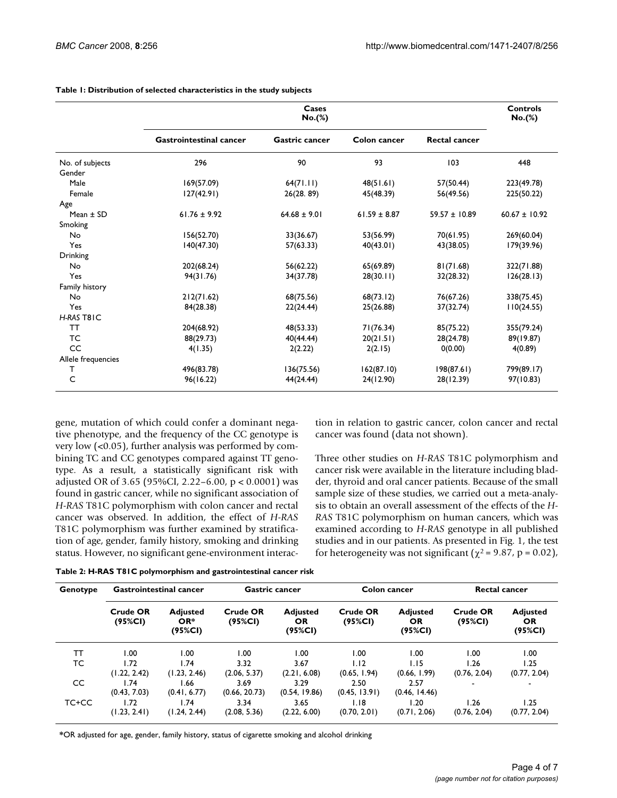|                    | Cases<br>No.(%)                |                  |                  |                      |                   |
|--------------------|--------------------------------|------------------|------------------|----------------------|-------------------|
|                    | <b>Gastrointestinal cancer</b> | Gastric cancer   | Colon cancer     | <b>Rectal cancer</b> |                   |
| No. of subjects    | 296                            | 90               | 93               | 103                  | 448               |
| Gender             |                                |                  |                  |                      |                   |
| Male               | 169(57.09)                     | 64(71.11)        | 48(51.61)        | 57(50.44)            | 223(49.78)        |
| Female             | 127(42.91)                     | 26(28.89)        | 45(48.39)        | 56(49.56)            | 225(50.22)        |
| Age                |                                |                  |                  |                      |                   |
| Mean $\pm$ SD      | $61.76 \pm 9.92$               | $64.68 \pm 9.01$ | $61.59 \pm 8.87$ | $59.57 \pm 10.89$    | $60.67 \pm 10.92$ |
| Smoking            |                                |                  |                  |                      |                   |
| No                 | 156(52.70)                     | 33(36.67)        | 53(56.99)        | 70(61.95)            | 269(60.04)        |
| Yes                | 140(47.30)                     | 57(63.33)        | 40(43.01)        | 43(38.05)            | 179(39.96)        |
| Drinking           |                                |                  |                  |                      |                   |
| No                 | 202(68.24)                     | 56(62.22)        | 65(69.89)        | 81(71.68)            | 322(71.88)        |
| Yes                | 94(31.76)                      | 34(37.78)        | 28(30.11)        | 32(28.32)            | 126(28.13)        |
| Family history     |                                |                  |                  |                      |                   |
| No                 | 212(71.62)                     | 68(75.56)        | 68(73.12)        | 76(67.26)            | 338(75.45)        |
| Yes                | 84(28.38)                      | 22(24.44)        | 25(26.88)        | 37(32.74)            | 110(24.55)        |
| H-RAS T81C         |                                |                  |                  |                      |                   |
| TΤ                 | 204(68.92)                     | 48(53.33)        | 71(76.34)        | 85(75.22)            | 355(79.24)        |
| TC                 | 88(29.73)                      | 40(44.44)        | 20(21.51)        | 28(24.78)            | 89(19.87)         |
| CC                 | 4(1.35)                        | 2(2.22)          | 2(2.15)          | 0(0.00)              | 4(0.89)           |
| Allele frequencies |                                |                  |                  |                      |                   |
| т                  | 496(83.78)                     | 136(75.56)       | 162(87.10)       | 198(87.61)           | 799(89.17)        |
| C                  | 96(16.22)                      | 44(24.44)        | 24(12.90)        | 28(12.39)            | 97(10.83)         |

**Table 1: Distribution of selected characteristics in the study subjects**

gene, mutation of which could confer a dominant negative phenotype, and the frequency of the CC genotype is very low (<0.05), further analysis was performed by combining TC and CC genotypes compared against TT genotype. As a result, a statistically significant risk with adjusted OR of 3.65 (95%CI, 2.22–6.00, p < 0.0001) was found in gastric cancer, while no significant association of *H-RAS* T81C polymorphism with colon cancer and rectal cancer was observed. In addition, the effect of *H-RAS* T81C polymorphism was further examined by stratification of age, gender, family history, smoking and drinking status. However, no significant gene-environment interaction in relation to gastric cancer, colon cancer and rectal cancer was found (data not shown).

Three other studies on *H-RAS* T81C polymorphism and cancer risk were available in the literature including bladder, thyroid and oral cancer patients. Because of the small sample size of these studies, we carried out a meta-analysis to obtain an overall assessment of the effects of the *H-RAS* T81C polymorphism on human cancers, which was examined according to *H-RAS* genotype in all published studies and in our patients. As presented in Fig. 1, the test for heterogeneity was not significant ( $\chi^2$  = 9.87, p = 0.02),

|  |  |  | Table 2: H-RAS T81C polymorphism and gastrointestinal cancer risk |  |  |
|--|--|--|-------------------------------------------------------------------|--|--|
|--|--|--|-------------------------------------------------------------------|--|--|

| Genotype | <b>Gastrointestinal cancer</b> |                                   | Gastric cancer                |                                         | Colon cancer               |                                         | <b>Rectal cancer</b>       |                                         |
|----------|--------------------------------|-----------------------------------|-------------------------------|-----------------------------------------|----------------------------|-----------------------------------------|----------------------------|-----------------------------------------|
|          | <b>Crude OR</b><br>$(95\%CI)$  | <b>Adjusted</b><br>OR*<br>(95%CI) | <b>Crude OR</b><br>$(95\%CI)$ | <b>Adjusted</b><br><b>OR</b><br>(95%CI) | <b>Crude OR</b><br>(95%CI) | <b>Adjusted</b><br><b>OR</b><br>(95%CI) | <b>Crude OR</b><br>(95%CI) | <b>Adjusted</b><br><b>OR</b><br>(95%CI) |
| TТ       | 1.00                           | 1.00                              | 1.00                          | 0.00                                    | 1.00                       | 1.00                                    | 1.00                       | 1.00                                    |
| ТC       | 1.72<br>(1.22, 2.42)           | 1.74<br>(1.23, 2.46)              | 3.32<br>(2.06, 5.37)          | 3.67<br>(2.21, 6.08)                    | 1.12<br>(0.65, 1.94)       | 1.15<br>(0.66, 1.99)                    | 1.26<br>(0.76, 2.04)       | I.25<br>(0.77, 2.04)                    |
| CC       | 1.74<br>(0.43, 7.03)           | 1.66<br>(0.41, 6.77)              | 3.69<br>(0.66, 20.73)         | 3.29<br>(0.54, 19.86)                   | 2.50<br>(0.45, 13.91)      | 2.57<br>(0.46, 14.46)                   |                            |                                         |
| TC+CC    | 1.72<br>(1.23, 2.41)           | l.74<br>(1.24, 2.44)              | 3.34<br>(2.08, 5.36)          | 3.65<br>(2.22, 6.00)                    | 1.18<br>(0.70, 2.01)       | 1.20<br>(0.71, 2.06)                    | 1.26<br>(0.76, 2.04)       | I.25<br>(0.77, 2.04)                    |

**\***OR adjusted for age, gender, family history, status of cigarette smoking and alcohol drinking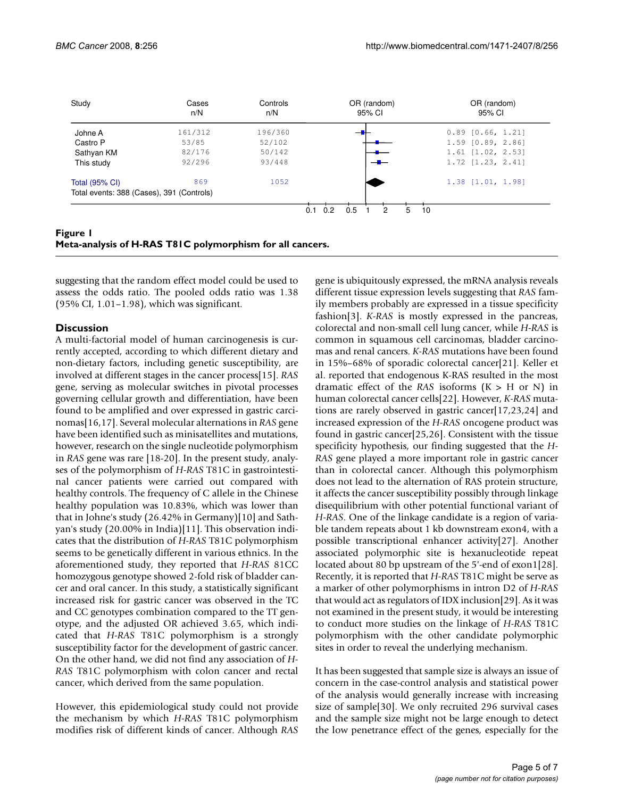| Study                                     | Cases<br>n/N | Controls<br>n/N | OR (random)<br>95% CI | OR (random)<br>95% CI |
|-------------------------------------------|--------------|-----------------|-----------------------|-----------------------|
| Johne A                                   | 161/312      | 196/360         |                       | $0.89$ $[0.66, 1.21]$ |
| Castro P                                  | 53/85        | 52/102          |                       | $1.59$ $[0.89, 2.86]$ |
| Sathyan KM                                | 82/176       | 50/142          |                       | $1.61$ $[1.02, 2.53]$ |
| This study                                | 92/296       | 93/448          |                       | $1.72$ $[1.23, 2.41]$ |
| <b>Total (95% CI)</b>                     | 869          | 1052            |                       | $1.38$ $[1.01, 1.98]$ |
| Total events: 388 (Cases), 391 (Controls) |              |                 |                       |                       |
|                                           |              | 0.1             | 0.5<br>0.2<br>5<br>2  | 10                    |

| Figure I |                                                           |  |
|----------|-----------------------------------------------------------|--|
|          | Meta-analysis of H-RAS T81C polymorphism for all cancers. |  |

suggesting that the random effect model could be used to assess the odds ratio. The pooled odds ratio was 1.38 (95% CI, 1.01–1.98), which was significant.

# **Discussion**

A multi-factorial model of human carcinogenesis is currently accepted, according to which different dietary and non-dietary factors, including genetic susceptibility, are involved at different stages in the cancer process[15]. *RAS* gene, serving as molecular switches in pivotal processes governing cellular growth and differentiation, have been found to be amplified and over expressed in gastric carcinomas[16,17]. Several molecular alternations in *RAS* gene have been identified such as minisatellites and mutations, however, research on the single nucleotide polymorphism in *RAS* gene was rare [18-20]. In the present study, analyses of the polymorphism of *H-RAS* T81C in gastrointestinal cancer patients were carried out compared with healthy controls. The frequency of C allele in the Chinese healthy population was 10.83%, which was lower than that in Johne's study (26.42% in Germany)[10] and Sathyan's study (20.00% in India)[11]. This observation indicates that the distribution of *H-RAS* T81C polymorphism seems to be genetically different in various ethnics. In the aforementioned study, they reported that *H-RAS* 81CC homozygous genotype showed 2-fold risk of bladder cancer and oral cancer. In this study, a statistically significant increased risk for gastric cancer was observed in the TC and CC genotypes combination compared to the TT genotype, and the adjusted OR achieved 3.65, which indicated that *H-RAS* T81C polymorphism is a strongly susceptibility factor for the development of gastric cancer. On the other hand, we did not find any association of *H-RAS* T81C polymorphism with colon cancer and rectal cancer, which derived from the same population.

However, this epidemiological study could not provide the mechanism by which *H-RAS* T81C polymorphism modifies risk of different kinds of cancer. Although *RAS*

gene is ubiquitously expressed, the mRNA analysis reveals different tissue expression levels suggesting that *RAS* family members probably are expressed in a tissue specificity fashion[3]. *K-RAS* is mostly expressed in the pancreas, colorectal and non-small cell lung cancer, while *H-RAS* is common in squamous cell carcinomas, bladder carcinomas and renal cancers. *K-RAS* mutations have been found in 15%–68% of sporadic colorectal cancer[21]. Keller et al. reported that endogenous K-RAS resulted in the most dramatic effect of the *RAS* isoforms (K > H or N) in human colorectal cancer cells[22]. However, *K-RAS* mutations are rarely observed in gastric cancer[17,23,24] and increased expression of the *H-RAS* oncogene product was found in gastric cancer[25,26]. Consistent with the tissue specificity hypothesis, our finding suggested that the *H-RAS* gene played a more important role in gastric cancer than in colorectal cancer. Although this polymorphism does not lead to the alternation of RAS protein structure, it affects the cancer susceptibility possibly through linkage disequilibrium with other potential functional variant of *H-RAS*. One of the linkage candidate is a region of variable tandem repeats about 1 kb downstream exon4, with a possible transcriptional enhancer activity[27]. Another associated polymorphic site is hexanucleotide repeat located about 80 bp upstream of the 5'-end of exon1[28]. Recently, it is reported that *H-RAS* T81C might be serve as a marker of other polymorphisms in intron D2 of *H-RAS* that would act as regulators of IDX inclusion[29]. As it was not examined in the present study, it would be interesting to conduct more studies on the linkage of *H-RAS* T81C polymorphism with the other candidate polymorphic sites in order to reveal the underlying mechanism.

It has been suggested that sample size is always an issue of concern in the case-control analysis and statistical power of the analysis would generally increase with increasing size of sample[30]. We only recruited 296 survival cases and the sample size might not be large enough to detect the low penetrance effect of the genes, especially for the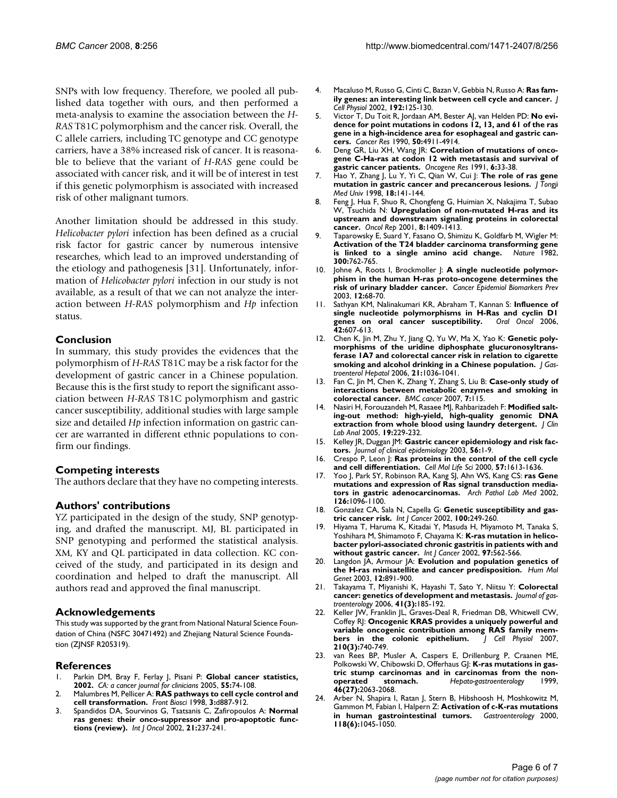SNPs with low frequency. Therefore, we pooled all published data together with ours, and then performed a meta-analysis to examine the association between the *H-RAS* T81C polymorphism and the cancer risk. Overall, the C allele carriers, including TC genotype and CC genotype carriers, have a 38% increased risk of cancer. It is reasonable to believe that the variant of *H-RAS* gene could be associated with cancer risk, and it will be of interest in test if this genetic polymorphism is associated with increased risk of other malignant tumors.

Another limitation should be addressed in this study. *Helicobacter pylori* infection has been defined as a crucial risk factor for gastric cancer by numerous intensive researches, which lead to an improved understanding of the etiology and pathogenesis [31]. Unfortunately, information of *Helicobacter pylori* infection in our study is not available, as a result of that we can not analyze the interaction between *H-RAS* polymorphism and *Hp* infection status.

#### **Conclusion**

In summary, this study provides the evidences that the polymorphism of *H-RAS* T81C may be a risk factor for the development of gastric cancer in a Chinese population. Because this is the first study to report the significant association between *H-RAS* T81C polymorphism and gastric cancer susceptibility, additional studies with large sample size and detailed *Hp* infection information on gastric cancer are warranted in different ethnic populations to confirm our findings.

#### **Competing interests**

The authors declare that they have no competing interests.

## **Authors' contributions**

YZ participated in the design of the study, SNP genotyping, and drafted the manuscript. MJ, BL participated in SNP genotyping and performed the statistical analysis. XM, KY and QL participated in data collection. KC conceived of the study, and participated in its design and coordination and helped to draft the manuscript. All authors read and approved the final manuscript.

#### **Acknowledgements**

This study was supported by the grant from National Natural Science Foundation of China (NSFC 30471492) and Zhejiang Natural Science Foundation (ZJNSF R205319).

#### **References**

- 1. Parkin DM, Bray F, Ferlay J, Pisani P: **[Global cancer statistics,](http://www.ncbi.nlm.nih.gov/entrez/query.fcgi?cmd=Retrieve&db=PubMed&dopt=Abstract&list_uids=15761078) [2002.](http://www.ncbi.nlm.nih.gov/entrez/query.fcgi?cmd=Retrieve&db=PubMed&dopt=Abstract&list_uids=15761078)** *CA: a cancer journal for clinicians* 2005, **55:**74-108.
- 2. Malumbres M, Pellicer A: **[RAS pathways to cell cycle control and](http://www.ncbi.nlm.nih.gov/entrez/query.fcgi?cmd=Retrieve&db=PubMed&dopt=Abstract&list_uids=9696882) [cell transformation.](http://www.ncbi.nlm.nih.gov/entrez/query.fcgi?cmd=Retrieve&db=PubMed&dopt=Abstract&list_uids=9696882)** *Front Biosci* 1998, **3:**d887-912.
- 3. Spandidos DA, Sourvinos G, Tsatsanis C, Zafiropoulos A: **[Normal](http://www.ncbi.nlm.nih.gov/entrez/query.fcgi?cmd=Retrieve&db=PubMed&dopt=Abstract&list_uids=12118316) [ras genes: their onco-suppressor and pro-apoptotic func](http://www.ncbi.nlm.nih.gov/entrez/query.fcgi?cmd=Retrieve&db=PubMed&dopt=Abstract&list_uids=12118316)[tions \(review\).](http://www.ncbi.nlm.nih.gov/entrez/query.fcgi?cmd=Retrieve&db=PubMed&dopt=Abstract&list_uids=12118316)** *Int J Oncol* 2002, **21:**237-241.
- 4. Macaluso M, Russo G, Cinti C, Bazan V, Gebbia N, Russo A: **[Ras fam](http://www.ncbi.nlm.nih.gov/entrez/query.fcgi?cmd=Retrieve&db=PubMed&dopt=Abstract&list_uids=12115718)[ily genes: an interesting link between cell cycle and cancer.](http://www.ncbi.nlm.nih.gov/entrez/query.fcgi?cmd=Retrieve&db=PubMed&dopt=Abstract&list_uids=12115718)** *J Cell Physiol* 2002, **192:**125-130.
- 5. Victor T, Du Toit R, Jordaan AM, Bester AJ, van Helden PD: **[No evi](http://www.ncbi.nlm.nih.gov/entrez/query.fcgi?cmd=Retrieve&db=PubMed&dopt=Abstract&list_uids=2199031)[dence for point mutations in codons 12, 13, and 61 of the ras](http://www.ncbi.nlm.nih.gov/entrez/query.fcgi?cmd=Retrieve&db=PubMed&dopt=Abstract&list_uids=2199031) gene in a high-incidence area for esophageal and gastric can[cers.](http://www.ncbi.nlm.nih.gov/entrez/query.fcgi?cmd=Retrieve&db=PubMed&dopt=Abstract&list_uids=2199031)** *Cancer Res* 1990, **50:**4911-4914.
- 6. Deng GR, Liu XH, Wang JR: **[Correlation of mutations of onco](http://www.ncbi.nlm.nih.gov/entrez/query.fcgi?cmd=Retrieve&db=PubMed&dopt=Abstract&list_uids=1671796)[gene C-Ha-ras at codon 12 with metastasis and survival of](http://www.ncbi.nlm.nih.gov/entrez/query.fcgi?cmd=Retrieve&db=PubMed&dopt=Abstract&list_uids=1671796) [gastric cancer patients.](http://www.ncbi.nlm.nih.gov/entrez/query.fcgi?cmd=Retrieve&db=PubMed&dopt=Abstract&list_uids=1671796)** *Oncogene Res* 1991, **6:**33-38.
- 7. Hao Y, Zhang J, Lu Y, Yi C, Qian W, Cui J: **[The role of ras gene](http://www.ncbi.nlm.nih.gov/entrez/query.fcgi?cmd=Retrieve&db=PubMed&dopt=Abstract&list_uids=10806811) [mutation in gastric cancer and precancerous lesions.](http://www.ncbi.nlm.nih.gov/entrez/query.fcgi?cmd=Retrieve&db=PubMed&dopt=Abstract&list_uids=10806811)** *J Tongji Med Univ* 1998, **18:**141-144.
- 8. Feng J, Hua F, Shuo R, Chongfeng G, Huimian X, Nakajima T, Subao W, Tsuchida N: **[Upregulation of non-mutated H-ras and its](http://www.ncbi.nlm.nih.gov/entrez/query.fcgi?cmd=Retrieve&db=PubMed&dopt=Abstract&list_uids=11605075) [upstream and downstream signaling proteins in colorectal](http://www.ncbi.nlm.nih.gov/entrez/query.fcgi?cmd=Retrieve&db=PubMed&dopt=Abstract&list_uids=11605075) [cancer.](http://www.ncbi.nlm.nih.gov/entrez/query.fcgi?cmd=Retrieve&db=PubMed&dopt=Abstract&list_uids=11605075)** *Oncol Rep* 2001, **8:**1409-1413.
- 9. Taparowsky E, Suard Y, Fasano O, Shimizu K, Goldfarb M, Wigler M: **[Activation of the T24 bladder carcinoma transforming gene](http://www.ncbi.nlm.nih.gov/entrez/query.fcgi?cmd=Retrieve&db=PubMed&dopt=Abstract&list_uids=7177195) [is linked to a single amino acid change.](http://www.ncbi.nlm.nih.gov/entrez/query.fcgi?cmd=Retrieve&db=PubMed&dopt=Abstract&list_uids=7177195)** *Nature* 1982, **300:**762-765.
- 10. Johne A, Roots I, Brockmoller J: [A single nucleotide polymor](http://www.ncbi.nlm.nih.gov/entrez/query.fcgi?cmd=Retrieve&db=PubMed&dopt=Abstract&list_uids=12540507)**[phism in the human H-ras proto-oncogene determines the](http://www.ncbi.nlm.nih.gov/entrez/query.fcgi?cmd=Retrieve&db=PubMed&dopt=Abstract&list_uids=12540507) [risk of urinary bladder cancer.](http://www.ncbi.nlm.nih.gov/entrez/query.fcgi?cmd=Retrieve&db=PubMed&dopt=Abstract&list_uids=12540507)** *Cancer Epidemiol Biomarkers Prev* 2003, **12:**68-70.
- 11. Sathyan KM, Nalinakumari KR, Abraham T, Kannan S: **[Influence of](http://www.ncbi.nlm.nih.gov/entrez/query.fcgi?cmd=Retrieve&db=PubMed&dopt=Abstract&list_uids=16488657) [single nucleotide polymorphisms in H-Ras and cyclin D1](http://www.ncbi.nlm.nih.gov/entrez/query.fcgi?cmd=Retrieve&db=PubMed&dopt=Abstract&list_uids=16488657)** [genes on oral cancer susceptibility.](http://www.ncbi.nlm.nih.gov/entrez/query.fcgi?cmd=Retrieve&db=PubMed&dopt=Abstract&list_uids=16488657) **42:**607-613.
- 12. Chen K, Jin M, Zhu Y, Jiang Q, Yu W, Ma X, Yao K: **[Genetic poly](http://www.ncbi.nlm.nih.gov/entrez/query.fcgi?cmd=Retrieve&db=PubMed&dopt=Abstract&list_uids=16724991)[morphisms of the uridine diphosphate glucuronosyltrans](http://www.ncbi.nlm.nih.gov/entrez/query.fcgi?cmd=Retrieve&db=PubMed&dopt=Abstract&list_uids=16724991)ferase 1A7 and colorectal cancer risk in relation to cigarette [smoking and alcohol drinking in a Chinese population.](http://www.ncbi.nlm.nih.gov/entrez/query.fcgi?cmd=Retrieve&db=PubMed&dopt=Abstract&list_uids=16724991)** *J Gastroenterol Hepatol* 2006, **21:**1036-1041.
- 13. Fan C, Jin M, Chen K, Zhang Y, Zhang S, Liu B: **[Case-only study of](http://www.ncbi.nlm.nih.gov/entrez/query.fcgi?cmd=Retrieve&db=PubMed&dopt=Abstract&list_uids=17603900) [interactions between metabolic enzymes and smoking in](http://www.ncbi.nlm.nih.gov/entrez/query.fcgi?cmd=Retrieve&db=PubMed&dopt=Abstract&list_uids=17603900) [colorectal cancer.](http://www.ncbi.nlm.nih.gov/entrez/query.fcgi?cmd=Retrieve&db=PubMed&dopt=Abstract&list_uids=17603900)** *BMC cancer* 2007, **7:**115.
- 14. Nasiri H, Forouzandeh M, Rasaee MJ, Rahbarizadeh F: **[Modified salt](http://www.ncbi.nlm.nih.gov/entrez/query.fcgi?cmd=Retrieve&db=PubMed&dopt=Abstract&list_uids=16302208)[ing-out method: high-yield, high-quality genomic DNA](http://www.ncbi.nlm.nih.gov/entrez/query.fcgi?cmd=Retrieve&db=PubMed&dopt=Abstract&list_uids=16302208) [extraction from whole blood using laundry detergent.](http://www.ncbi.nlm.nih.gov/entrez/query.fcgi?cmd=Retrieve&db=PubMed&dopt=Abstract&list_uids=16302208)** *J Clin Lab Anal* 2005, **19:**229-232.
- 15. Kelley JR, Duggan JM: **[Gastric cancer epidemiology and risk fac](http://www.ncbi.nlm.nih.gov/entrez/query.fcgi?cmd=Retrieve&db=PubMed&dopt=Abstract&list_uids=12589864)[tors.](http://www.ncbi.nlm.nih.gov/entrez/query.fcgi?cmd=Retrieve&db=PubMed&dopt=Abstract&list_uids=12589864)** *Journal of clinical epidemiology* 2003, **56:**1-9.
- 16. Crespo P, Leon J: **[Ras proteins in the control of the cell cycle](http://www.ncbi.nlm.nih.gov/entrez/query.fcgi?cmd=Retrieve&db=PubMed&dopt=Abstract&list_uids=11092455) [and cell differentiation.](http://www.ncbi.nlm.nih.gov/entrez/query.fcgi?cmd=Retrieve&db=PubMed&dopt=Abstract&list_uids=11092455)** *Cell Mol Life Sci* 2000, **57:**1613-1636.
- 17. Yoo J, Park SY, Robinson RA, Kang SJ, Ahn WS, Kang CS: **[ras Gene](http://www.ncbi.nlm.nih.gov/entrez/query.fcgi?cmd=Retrieve&db=PubMed&dopt=Abstract&list_uids=12204060) [mutations and expression of Ras signal transduction media](http://www.ncbi.nlm.nih.gov/entrez/query.fcgi?cmd=Retrieve&db=PubMed&dopt=Abstract&list_uids=12204060)[tors in gastric adenocarcinomas.](http://www.ncbi.nlm.nih.gov/entrez/query.fcgi?cmd=Retrieve&db=PubMed&dopt=Abstract&list_uids=12204060)** *Arch Pathol Lab Med* 2002, **126:**1096-1100.
- 18. Gonzalez CA, Sala N, Capella G: **[Genetic susceptibility and gas](http://www.ncbi.nlm.nih.gov/entrez/query.fcgi?cmd=Retrieve&db=PubMed&dopt=Abstract&list_uids=12115538)[tric cancer risk.](http://www.ncbi.nlm.nih.gov/entrez/query.fcgi?cmd=Retrieve&db=PubMed&dopt=Abstract&list_uids=12115538)** *Int J Cancer* 2002, **100:**249-260.
- 19. Hiyama T, Haruma K, Kitadai Y, Masuda H, Miyamoto M, Tanaka S, Yoshihara M, Shimamoto F, Chayama K: **[K-ras mutation in helico](http://www.ncbi.nlm.nih.gov/entrez/query.fcgi?cmd=Retrieve&db=PubMed&dopt=Abstract&list_uids=11807778)[bacter pylori-associated chronic gastritis in patients with and](http://www.ncbi.nlm.nih.gov/entrez/query.fcgi?cmd=Retrieve&db=PubMed&dopt=Abstract&list_uids=11807778) [without gastric cancer.](http://www.ncbi.nlm.nih.gov/entrez/query.fcgi?cmd=Retrieve&db=PubMed&dopt=Abstract&list_uids=11807778)** *Int J Cancer* 2002, **97:**562-566.
- 20. Langdon JA, Armour JA: **[Evolution and population genetics of](http://www.ncbi.nlm.nih.gov/entrez/query.fcgi?cmd=Retrieve&db=PubMed&dopt=Abstract&list_uids=12668612) [the H-ras minisatellite and cancer predisposition.](http://www.ncbi.nlm.nih.gov/entrez/query.fcgi?cmd=Retrieve&db=PubMed&dopt=Abstract&list_uids=12668612)** *Hum Mol Genet* 2003, **12:**891-900.
- 21. Takayama T, Miyanishi K, Hayashi T, Sato Y, Niitsu Y: **[Colorectal](http://www.ncbi.nlm.nih.gov/entrez/query.fcgi?cmd=Retrieve&db=PubMed&dopt=Abstract&list_uids=16699851) [cancer: genetics of development and metastasis.](http://www.ncbi.nlm.nih.gov/entrez/query.fcgi?cmd=Retrieve&db=PubMed&dopt=Abstract&list_uids=16699851)** *Journal of gastroenterology* 2006, **41(3):**185-192.
- 22. Keller JW, Franklin JL, Graves-Deal R, Friedman DB, Whitwell CW, Coffey RJ: **[Oncogenic KRAS provides a uniquely powerful and](http://www.ncbi.nlm.nih.gov/entrez/query.fcgi?cmd=Retrieve&db=PubMed&dopt=Abstract&list_uids=17133351) variable oncogenic contribution among RAS family mem-<br>bers in the colonic epithelium.** | Cell Physiol 2007, [bers in the colonic epithelium.](http://www.ncbi.nlm.nih.gov/entrez/query.fcgi?cmd=Retrieve&db=PubMed&dopt=Abstract&list_uids=17133351) **210(3):**740-749.
- 23. van Rees BP, Musler A, Caspers E, Drillenburg P, Craanen ME, Polkowski W, Chibowski D, Offerhaus GJ: **[K-ras mutations in gas](http://www.ncbi.nlm.nih.gov/entrez/query.fcgi?cmd=Retrieve&db=PubMed&dopt=Abstract&list_uids=10430398)[tric stump carcinomas and in carcinomas from the non](http://www.ncbi.nlm.nih.gov/entrez/query.fcgi?cmd=Retrieve&db=PubMed&dopt=Abstract&list_uids=10430398)**stomach. *Hepato-gastroenterology* **46(27):**2063-2068.
- 24. Arber N, Shapira I, Ratan J, Stern B, Hibshoosh H, Moshkowitz M, Gammon M, Fabian I, Halpern Z: **[Activation of c-K-ras mutations](http://www.ncbi.nlm.nih.gov/entrez/query.fcgi?cmd=Retrieve&db=PubMed&dopt=Abstract&list_uids=10833479) [in human gastrointestinal tumors.](http://www.ncbi.nlm.nih.gov/entrez/query.fcgi?cmd=Retrieve&db=PubMed&dopt=Abstract&list_uids=10833479)** *Gastroenterology* 2000, **118(6):**1045-1050.